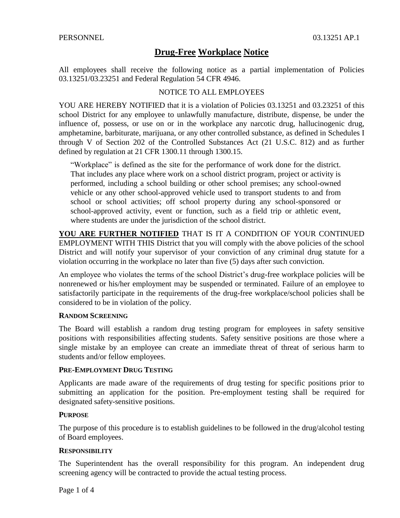All employees shall receive the following notice as a partial implementation of Policies 03.13251/03.23251 and Federal Regulation 54 CFR 4946.

## NOTICE TO ALL EMPLOYEES

YOU ARE HEREBY NOTIFIED that it is a violation of Policies 03.13251 and 03.23251 of this school District for any employee to unlawfully manufacture, distribute, dispense, be under the influence of, possess, or use on or in the workplace any narcotic drug, hallucinogenic drug, amphetamine, barbiturate, marijuana, or any other controlled substance, as defined in Schedules I through V of Section 202 of the Controlled Substances Act (21 U.S.C. 812) and as further defined by regulation at 21 CFR 1300.11 through 1300.15.

"Workplace" is defined as the site for the performance of work done for the district. That includes any place where work on a school district program, project or activity is performed, including a school building or other school premises; any school-owned vehicle or any other school-approved vehicle used to transport students to and from school or school activities; off school property during any school-sponsored or school-approved activity, event or function, such as a field trip or athletic event, where students are under the jurisdiction of the school district.

**YOU ARE FURTHER NOTIFIED** THAT IS IT A CONDITION OF YOUR CONTINUED EMPLOYMENT WITH THIS District that you will comply with the above policies of the school District and will notify your supervisor of your conviction of any criminal drug statute for a violation occurring in the workplace no later than five (5) days after such conviction.

An employee who violates the terms of the school District's drug-free workplace policies will be nonrenewed or his/her employment may be suspended or terminated. Failure of an employee to satisfactorily participate in the requirements of the drug-free workplace/school policies shall be considered to be in violation of the policy.

#### **RANDOM SCREENING**

The Board will establish a random drug testing program for employees in safety sensitive positions with responsibilities affecting students. Safety sensitive positions are those where a single mistake by an employee can create an immediate threat of threat of serious harm to students and/or fellow employees.

#### **PRE-EMPLOYMENT DRUG TESTING**

Applicants are made aware of the requirements of drug testing for specific positions prior to submitting an application for the position. Pre-employment testing shall be required for designated safety-sensitive positions.

## **PURPOSE**

The purpose of this procedure is to establish guidelines to be followed in the drug/alcohol testing of Board employees.

#### **RESPONSIBILITY**

The Superintendent has the overall responsibility for this program. An independent drug screening agency will be contracted to provide the actual testing process.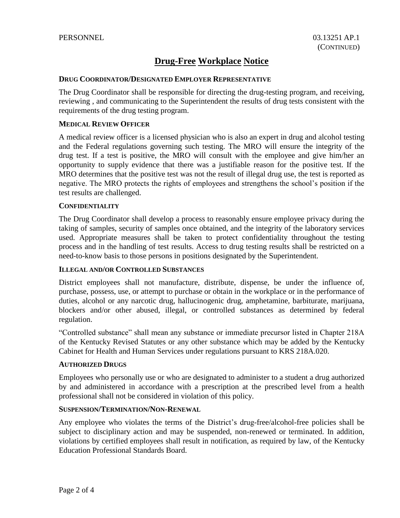## **DRUG COORDINATOR/DESIGNATED EMPLOYER REPRESENTATIVE**

The Drug Coordinator shall be responsible for directing the drug-testing program, and receiving, reviewing , and communicating to the Superintendent the results of drug tests consistent with the requirements of the drug testing program.

### **MEDICAL REVIEW OFFICER**

A medical review officer is a licensed physician who is also an expert in drug and alcohol testing and the Federal regulations governing such testing. The MRO will ensure the integrity of the drug test. If a test is positive, the MRO will consult with the employee and give him/her an opportunity to supply evidence that there was a justifiable reason for the positive test. If the MRO determines that the positive test was not the result of illegal drug use, the test is reported as negative. The MRO protects the rights of employees and strengthens the school's position if the test results are challenged.

#### **CONFIDENTIALITY**

The Drug Coordinator shall develop a process to reasonably ensure employee privacy during the taking of samples, security of samples once obtained, and the integrity of the laboratory services used. Appropriate measures shall be taken to protect confidentiality throughout the testing process and in the handling of test results. Access to drug testing results shall be restricted on a need-to-know basis to those persons in positions designated by the Superintendent.

## **ILLEGAL AND/OR CONTROLLED SUBSTANCES**

District employees shall not manufacture, distribute, dispense, be under the influence of, purchase, possess, use, or attempt to purchase or obtain in the workplace or in the performance of duties, alcohol or any narcotic drug, hallucinogenic drug, amphetamine, barbiturate, marijuana, blockers and/or other abused, illegal, or controlled substances as determined by federal regulation.

"Controlled substance" shall mean any substance or immediate precursor listed in Chapter 218A of the Kentucky Revised Statutes or any other substance which may be added by the Kentucky Cabinet for Health and Human Services under regulations pursuant to KRS 218A.020.

#### **AUTHORIZED DRUGS**

Employees who personally use or who are designated to administer to a student a drug authorized by and administered in accordance with a prescription at the prescribed level from a health professional shall not be considered in violation of this policy.

#### **SUSPENSION/TERMINATION/NON-RENEWAL**

Any employee who violates the terms of the District's drug-free/alcohol-free policies shall be subject to disciplinary action and may be suspended, non-renewed or terminated. In addition, violations by certified employees shall result in notification, as required by law, of the Kentucky Education Professional Standards Board.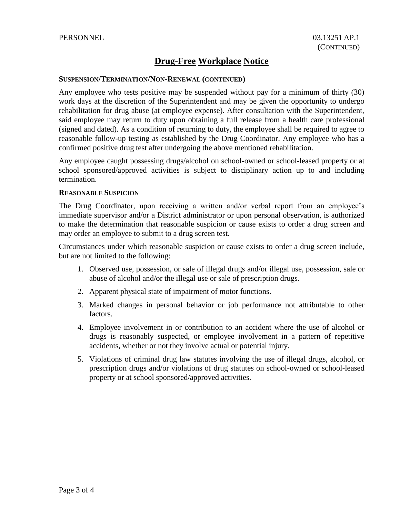#### **SUSPENSION/TERMINATION/NON-RENEWAL (CONTINUED)**

Any employee who tests positive may be suspended without pay for a minimum of thirty (30) work days at the discretion of the Superintendent and may be given the opportunity to undergo rehabilitation for drug abuse (at employee expense). After consultation with the Superintendent, said employee may return to duty upon obtaining a full release from a health care professional (signed and dated). As a condition of returning to duty, the employee shall be required to agree to reasonable follow-up testing as established by the Drug Coordinator. Any employee who has a confirmed positive drug test after undergoing the above mentioned rehabilitation.

Any employee caught possessing drugs/alcohol on school-owned or school-leased property or at school sponsored/approved activities is subject to disciplinary action up to and including termination.

#### **REASONABLE SUSPICION**

The Drug Coordinator, upon receiving a written and/or verbal report from an employee's immediate supervisor and/or a District administrator or upon personal observation, is authorized to make the determination that reasonable suspicion or cause exists to order a drug screen and may order an employee to submit to a drug screen test.

Circumstances under which reasonable suspicion or cause exists to order a drug screen include, but are not limited to the following:

- 1. Observed use, possession, or sale of illegal drugs and/or illegal use, possession, sale or abuse of alcohol and/or the illegal use or sale of prescription drugs.
- 2. Apparent physical state of impairment of motor functions.
- 3. Marked changes in personal behavior or job performance not attributable to other factors.
- 4. Employee involvement in or contribution to an accident where the use of alcohol or drugs is reasonably suspected, or employee involvement in a pattern of repetitive accidents, whether or not they involve actual or potential injury.
- 5. Violations of criminal drug law statutes involving the use of illegal drugs, alcohol, or prescription drugs and/or violations of drug statutes on school-owned or school-leased property or at school sponsored/approved activities.